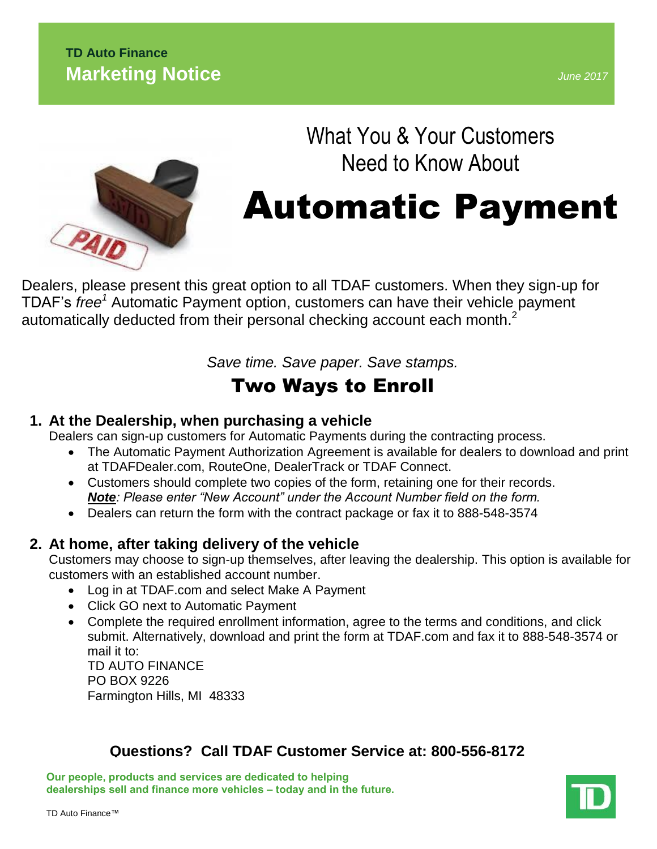## **TD Auto Finance Marketing Notice**

*June 2017*



# What You & Your Customers Need to Know About

# Automatic Payment

D[ealers, please present this gre](http://www.google.com/imgres?q=automatic+payment&start=279&hl=en&biw=1500&bih=797&tbm=isch&tbnid=FXj_-Nl1DBo-7M:&imgrefurl=http://parksandsons.com/auto-pay-enrollment-successful/&docid=VQCgjGQgbqH-DM&imgurl=http://parksandsons.com/wordpress/wp-content/uploads/2011/05/iStock_000016701833Large-300x225.jpg&w=300&h=225&ei=GDiRUdqEDuTWyQHf1oHwBw&zoom=1&ved=1t:3588,r:93,s:200,i:283&iact=rc&dur=520&page=11&tbnh=177&tbnw=236&ndsp=29&tx=125&ty=104)at option to all TDAF customers. When they sign-up for TDAF's *free<sup>1</sup>* Automatic Payment option, customers can have their vehicle payment automatically deducted from their personal checking account each month. $^2$ 

*Save time. Save paper. Save stamps.*

## Two Ways to Enroll

## **1. At the Dealership, when purchasing a vehicle**

Dealers can sign-up customers for Automatic Payments during the contracting process.

- The Automatic Payment Authorization Agreement is available for dealers to download and print at TDAFDealer.com, RouteOne, DealerTrack or TDAF Connect.
- Customers should complete two copies of the form, retaining one for their records. *Note: Please enter "New Account" under the Account Number field on the form.*
- Dealers can return the form with the contract package or fax it to 888-548-3574

## **2. At home, after taking delivery of the vehicle**

Customers may choose to sign-up themselves, after leaving the dealership. This option is available for customers with an established account number.

- Log in at TDAF.com and select Make A Payment
- Click GO next to Automatic Payment
- Complete the required enrollment information, agree to the terms and conditions, and click submit. Alternatively, download and print the form at TDAF.com and fax it to 888-548-3574 or mail it to: TD AUTO FINANCE

PO BOX 9226 Farmington Hills, MI 48333

## **Questions? Call TDAF Customer Service at: 800-556-8172**

**Our people, products and services are dedicated to helping dealerships sell and finance more vehicles – today and in the future.**